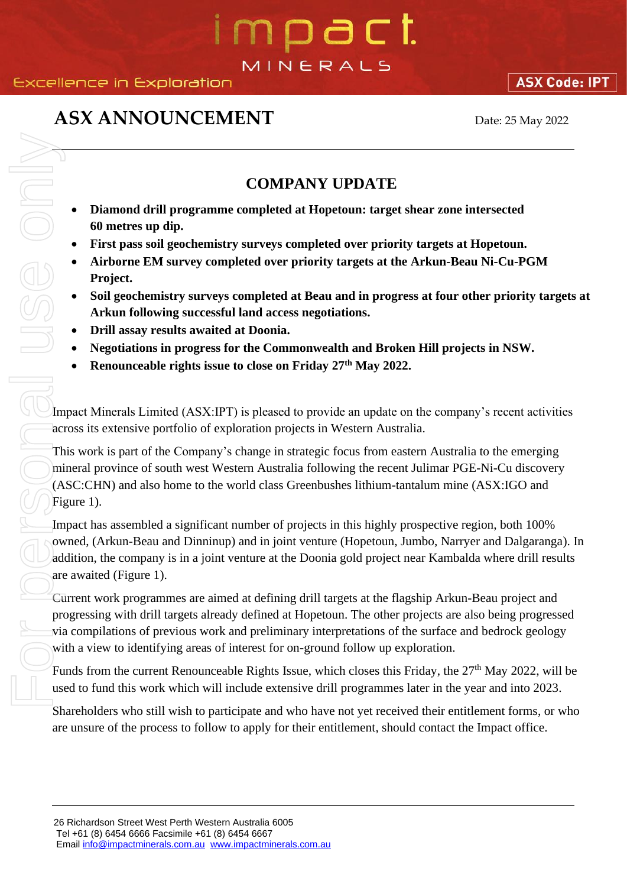# n pa c t. MINERALS

### **Excellence in Exploration**

### **ASX ANNOUNCEMENT** Date: 25 May 2022

**ASX Code: IPT** 

### **COMPANY UPDATE**

- **Diamond drill programme completed at Hopetoun: target shear zone intersected 60 metres up dip.**
- **First pass soil geochemistry surveys completed over priority targets at Hopetoun.**
- **Airborne EM survey completed over priority targets at the Arkun-Beau Ni-Cu-PGM Project.**
- **Soil geochemistry surveys completed at Beau and in progress at four other priority targets at Arkun following successful land access negotiations.**
- **Drill assay results awaited at Doonia.**
- **Negotiations in progress for the Commonwealth and Broken Hill projects in NSW.**
- **Renounceable rights issue to close on Friday 27th May 2022.**

Impact Minerals Limited (ASX:IPT) is pleased to provide an update on the company's recent activities across its extensive portfolio of exploration projects in Western Australia.

This work is part of the Company's change in strategic focus from eastern Australia to the emerging mineral province of south west Western Australia following the recent Julimar PGE-Ni-Cu discovery (ASC:CHN) and also home to the world class Greenbushes lithium-tantalum mine (ASX:IGO and Figure 1).

Impact has assembled a significant number of projects in this highly prospective region, both 100% owned, (Arkun-Beau and Dinninup) and in joint venture (Hopetoun, Jumbo, Narryer and Dalgaranga). In addition, the company is in a joint venture at the Doonia gold project near Kambalda where drill results are awaited (Figure 1).

Current work programmes are aimed at defining drill targets at the flagship Arkun-Beau project and progressing with drill targets already defined at Hopetoun. The other projects are also being progressed via compilations of previous work and preliminary interpretations of the surface and bedrock geology with a view to identifying areas of interest for on-ground follow up exploration. **EXECUTE THE CONFORM CONFORM CONFORM CONFORM CONFORM CONFORM CONFORM CONFORM CONFORM CONFORM CONFORM CONFORM CONFORM CONFORM CONFORM CONFORM CONFORM CONFORM CONFORM CONFORM CONFORM CONFORM CONFORM CONFORM CONFORM CONFORM** 

Funds from the current Renounceable Rights Issue, which closes this Friday, the 27<sup>th</sup> May 2022, will be used to fund this work which will include extensive drill programmes later in the year and into 2023.

Shareholders who still wish to participate and who have not yet received their entitlement forms, or who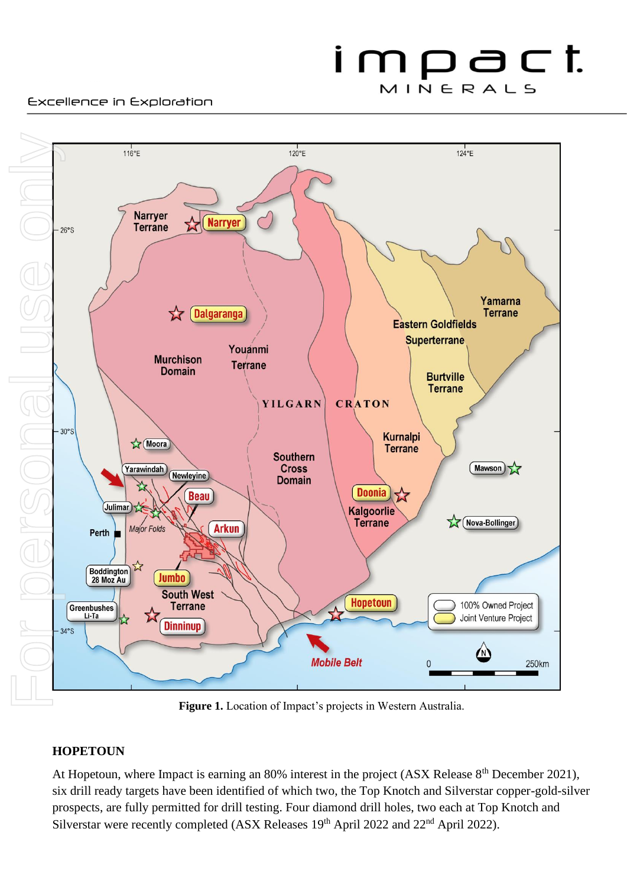#### Excellence in Exploration



**Figure 1.** Location of Impact's projects in Western Australia.

### **HOPETOUN**

At Hopetoun, where Impact is earning an 80% interest in the project (ASX Release 8<sup>th</sup> December 2021), six drill ready targets have been identified of which two, the Top Knotch and Silverstar copper-gold-silver prospects, are fully permitted for drill testing. Four diamond drill holes, two each at Top Knotch and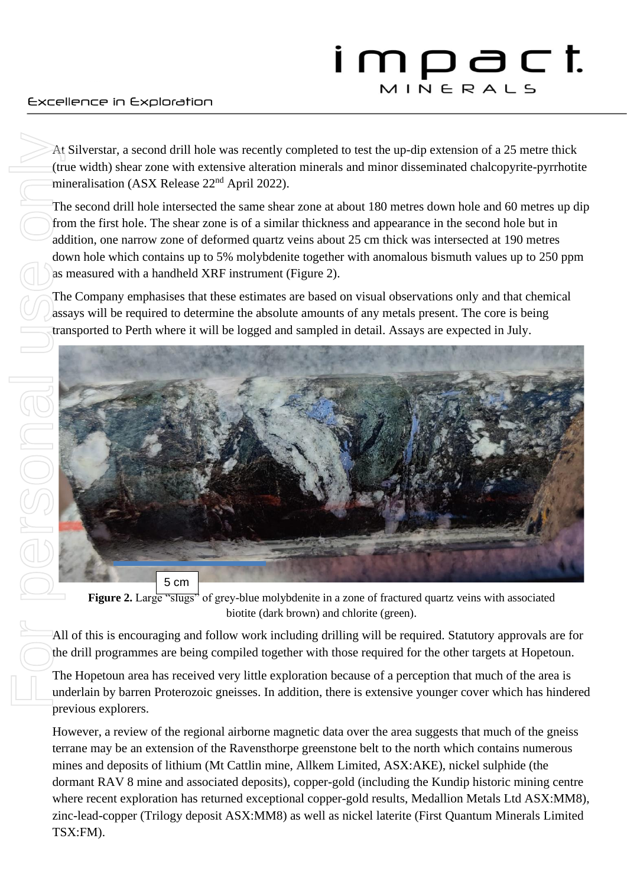#### Excellence in Exploration

At Silverstar, a second drill hole was recently completed to test the up-dip extension of a 25 metre thick (true width) shear zone with extensive alteration minerals and minor disseminated chalcopyrite-pyrrhotite mineralisation (ASX Release  $22<sup>nd</sup>$  April 2022).

The second drill hole intersected the same shear zone at about 180 metres down hole and 60 metres up dip from the first hole. The shear zone is of a similar thickness and appearance in the second hole but in addition, one narrow zone of deformed quartz veins about 25 cm thick was intersected at 190 metres down hole which contains up to 5% molybdenite together with anomalous bismuth values up to 250 ppm as measured with a handheld XRF instrument (Figure 2).

The Company emphasises that these estimates are based on visual observations only and that chemical assays will be required to determine the absolute amounts of any metals present. The core is being transported to Perth where it will be logged and sampled in detail. Assays are expected in July.



**Figure 2.** Large "slugs" of grey-blue molybdenite in a zone of fractured quartz veins with associated biotite (dark brown) and chlorite (green).

All of this is encouraging and follow work including drilling will be required. Statutory approvals are for the drill programmes are being compiled together with those required for the other targets at Hopetoun.

The Hopetoun area has received very little exploration because of a perception that much of the area is underlain by barren Proterozoic gneisses. In addition, there is extensive younger cover which has hindered previous explorers.

However, a review of the regional airborne magnetic data over the area suggests that much of the gneiss terrane may be an extension of the Ravensthorpe greenstone belt to the north which contains numerous mines and deposits of lithium (Mt Cattlin mine, Allkem Limited, ASX:AKE), nickel sulphide (the dormant RAV 8 mine and associated deposits), copper-gold (including the Kundip historic mining centre where recent exploration has returned exceptional copper-gold results, Medallion Metals Ltd ASX:MM8), zinc-lead-copper (Trilogy deposit ASX:MM8) as well as nickel laterite (First Quantum Minerals Limited TSX:FM).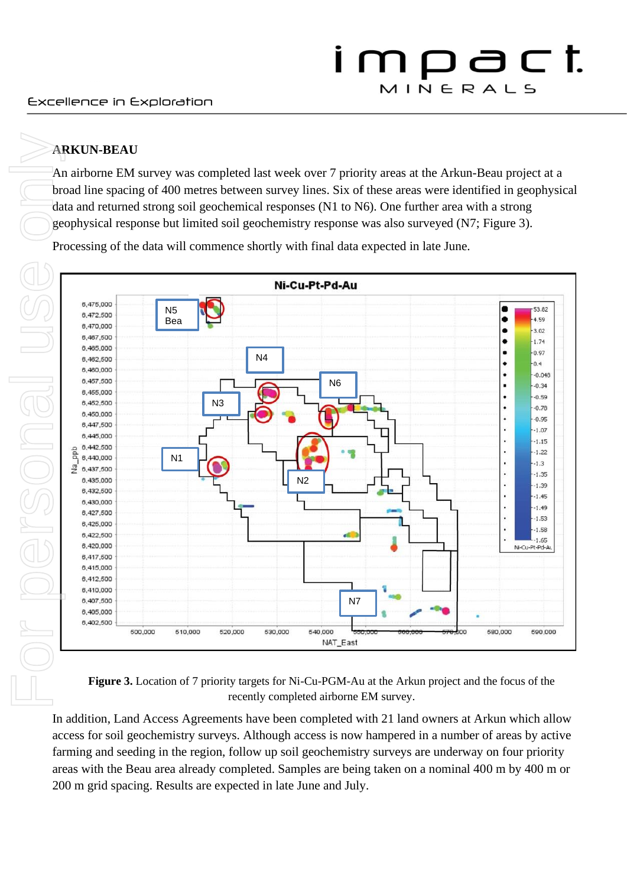### **ARKUN-BEAU**

An airborne EM survey was completed last week over 7 priority areas at the Arkun-Beau project at a broad line spacing of 400 metres between survey lines. Six of these areas were identified in geophysical data and returned strong soil geochemical responses (N1 to N6). One further area with a strong geophysical response but limited soil geochemistry response was also surveyed (N7; Figure 3).

Processing of the data will commence shortly with final data expected in late June.



**Figure 3.** Location of 7 priority targets for Ni-Cu-PGM-Au at the Arkun project and the focus of the recently completed airborne EM survey.

In addition, Land Access Agreements have been completed with 21 land owners at Arkun which allow access for soil geochemistry surveys. Although access is now hampered in a number of areas by active farming and seeding in the region, follow up soil geochemistry surveys are underway on four priority areas with the Beau area already completed. Samples are being taken on a nominal 400 m by 400 m or 200 m grid spacing. Results are expected in late June and July.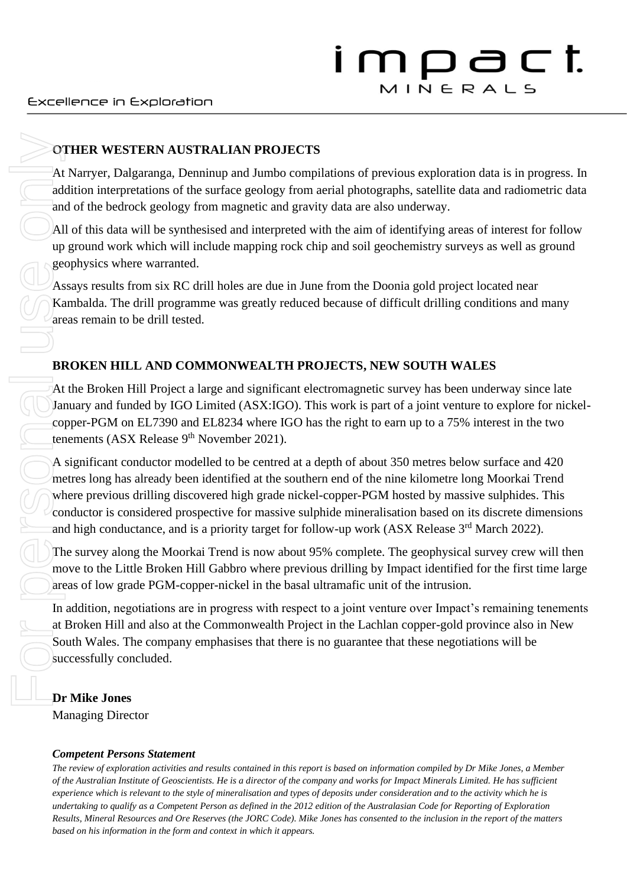### **OTHER WESTERN AUSTRALIAN PROJECTS**

At Narryer, Dalgaranga, Denninup and Jumbo compilations of previous exploration data is in progress. In addition interpretations of the surface geology from aerial photographs, satellite data and radiometric data and of the bedrock geology from magnetic and gravity data are also underway.

All of this data will be synthesised and interpreted with the aim of identifying areas of interest for follow up ground work which will include mapping rock chip and soil geochemistry surveys as well as ground geophysics where warranted.

Assays results from six RC drill holes are due in June from the Doonia gold project located near Kambalda. The drill programme was greatly reduced because of difficult drilling conditions and many areas remain to be drill tested.

### **BROKEN HILL AND COMMONWEALTH PROJECTS, NEW SOUTH WALES**

At the Broken Hill Project a large and significant electromagnetic survey has been underway since late January and funded by IGO Limited (ASX:IGO). This work is part of a joint venture to explore for nickelcopper-PGM on EL7390 and EL8234 where IGO has the right to earn up to a 75% interest in the two tenements (ASX Release 9<sup>th</sup> November 2021).

A significant conductor modelled to be centred at a depth of about 350 metres below surface and 420 metres long has already been identified at the southern end of the nine kilometre long Moorkai Trend where previous drilling discovered high grade nickel-copper-PGM hosted by massive sulphides. This conductor is considered prospective for massive sulphide mineralisation based on its discrete dimensions and high conductance, and is a priority target for follow-up work (ASX Release 3<sup>rd</sup> March 2022).

The survey along the Moorkai Trend is now about 95% complete. The geophysical survey crew will then move to the Little Broken Hill Gabbro where previous drilling by Impact identified for the first time large areas of low grade PGM-copper-nickel in the basal ultramafic unit of the intrusion.

In addition, negotiations are in progress with respect to a joint venture over Impact's remaining tenements at Broken Hill and also at the Commonwealth Project in the Lachlan copper-gold province also in New South Wales. The company emphasises that there is no guarantee that these negotiations will be successfully concluded.

### **Dr Mike Jones**

Managing Director

### *Competent Persons Statement*

*The review of exploration activities and results contained in this report is based on information compiled by Dr Mike Jones, a Member of the Australian Institute of Geoscientists. He is a director of the company and works for Impact Minerals Limited. He has sufficient experience which is relevant to the style of mineralisation and types of deposits under consideration and to the activity which he is undertaking to qualify as a Competent Person as defined in the 2012 edition of the Australasian Code for Reporting of Exploration Results, Mineral Resources and Ore Reserves (the JORC Code). Mike Jones has consented to the inclusion in the report of the matters*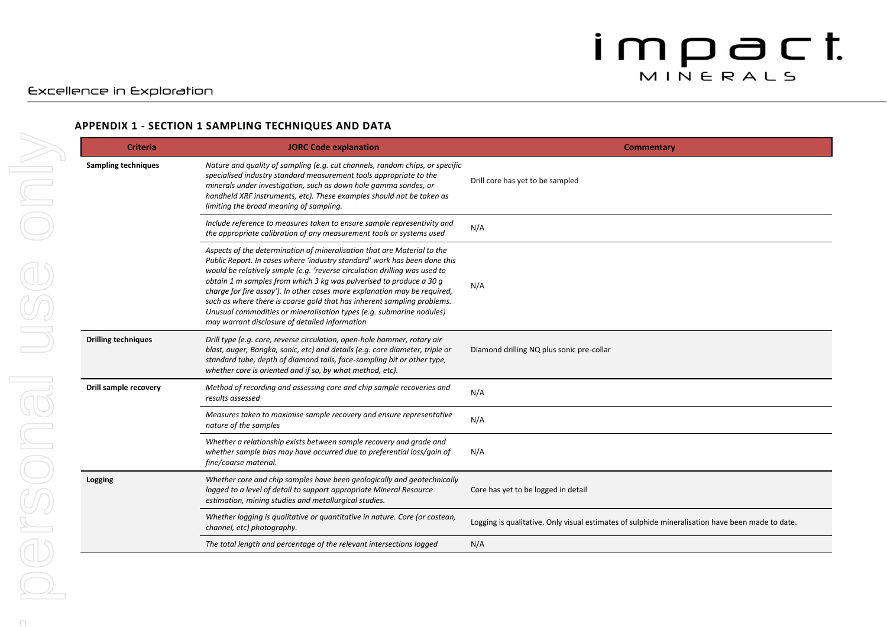#### Excellence in Exploration

#### **APPENDIX 1 - SECTION 1 SAMPLING TECHNIQUES AND DATA**

| <b>Criteria</b>            | <b>JORC Code explanation</b>                                                                                                                                                                                                                                                                                                                                                                                                                                                                                                                                                                | Commentary                                                                                       |
|----------------------------|---------------------------------------------------------------------------------------------------------------------------------------------------------------------------------------------------------------------------------------------------------------------------------------------------------------------------------------------------------------------------------------------------------------------------------------------------------------------------------------------------------------------------------------------------------------------------------------------|--------------------------------------------------------------------------------------------------|
| <b>Sampling techniques</b> | Nature and quality of sampling (e.g. cut channels, random chips, or specific<br>specialised industry standard measurement tools appropriate to the<br>minerals under investigation, such as down hole gamma sondes, or<br>handheld XRF instruments, etc). These examples should not be taken as<br>limiting the broad meaning of sampling.                                                                                                                                                                                                                                                  | Drill core has yet to be sampled                                                                 |
|                            | Include reference to measures taken to ensure sample representivity and<br>the appropriate calibration of any measurement tools or systems used                                                                                                                                                                                                                                                                                                                                                                                                                                             | N/A                                                                                              |
|                            | Aspects of the determination of mineralisation that are Material to the<br>Public Report. In cases where 'industry standard' work has been done this<br>would be relatively simple (e.g. 'reverse circulation drilling was used to<br>obtain 1 m samples from which 3 kg was pulverised to produce a 30 g<br>charge for fire assay'). In other cases more explanation may be required,<br>such as where there is coarse gold that has inherent sampling problems.<br>Unusual commodities or mineralisation types (e.g. submarine nodules)<br>may warrant disclosure of detailed information | N/A                                                                                              |
| <b>Drilling techniques</b> | Drill type (e.g. core, reverse circulation, open-hole hammer, rotary air<br>blast, auger, Bangka, sonic, etc) and details (e.g. core diameter, triple or<br>standard tube, depth of diamond tails, face-sampling bit or other type,<br>whether core is oriented and if so, by what method, etc).                                                                                                                                                                                                                                                                                            | Diamond drilling NQ plus sonic pre-collar                                                        |
| Drill sample recovery      | Method of recording and assessing core and chip sample recoveries and<br>results assessed                                                                                                                                                                                                                                                                                                                                                                                                                                                                                                   | N/A                                                                                              |
|                            | Measures taken to maximise sample recovery and ensure representative<br>nature of the samples                                                                                                                                                                                                                                                                                                                                                                                                                                                                                               | N/A                                                                                              |
|                            | Whether a relationship exists between sample recovery and grade and<br>whether sample bias may have occurred due to preferential loss/gain of<br>fine/coarse material.                                                                                                                                                                                                                                                                                                                                                                                                                      | N/A                                                                                              |
| Logging                    | Whether core and chip samples have been geologically and geotechnically<br>logged to a level of detail to support appropriate Mineral Resource<br>estimation, mining studies and metallurgical studies.                                                                                                                                                                                                                                                                                                                                                                                     | Core has yet to be logged in detail                                                              |
|                            | Whether logging is qualitative or quantitative in nature. Core (or costean,<br>channel, etc) photography.                                                                                                                                                                                                                                                                                                                                                                                                                                                                                   | Logging is qualitative. Only visual estimates of sulphide mineralisation have been made to date. |
|                            | The total length and percentage of the relevant intersections logged                                                                                                                                                                                                                                                                                                                                                                                                                                                                                                                        | N/A                                                                                              |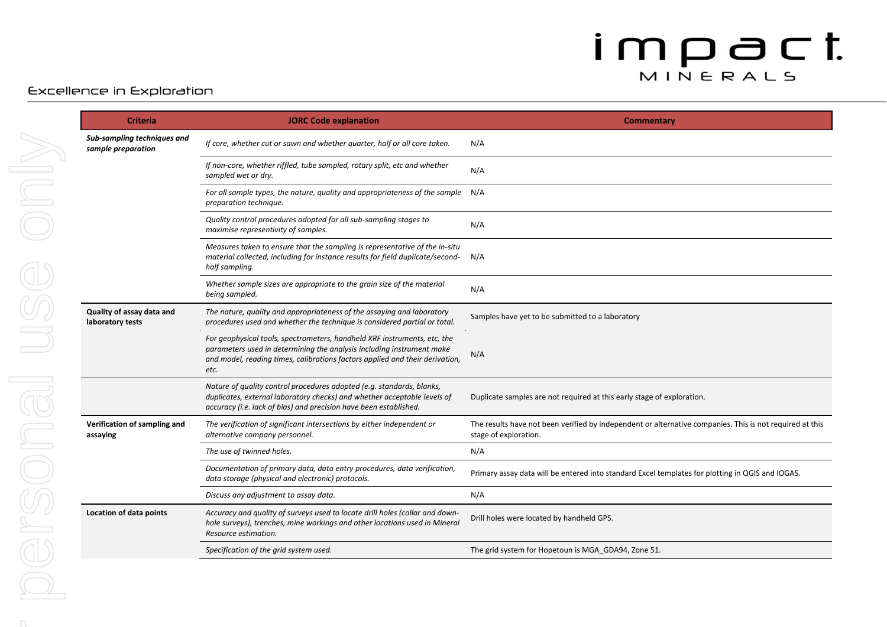#### Excellence in Exploration

| <b>Criteria</b>                                   | <b>JORC Code explanation</b>                                                                                                                                                                                                              | Commentary                                                                                                                        |
|---------------------------------------------------|-------------------------------------------------------------------------------------------------------------------------------------------------------------------------------------------------------------------------------------------|-----------------------------------------------------------------------------------------------------------------------------------|
| Sub-sampling techniques and<br>sample preparation | If core, whether cut or sawn and whether quarter, half or all core taken.                                                                                                                                                                 | N/A                                                                                                                               |
|                                                   | If non-core, whether riffled, tube sampled, rotary split, etc and whether<br>sampled wet or dry.                                                                                                                                          | N/A                                                                                                                               |
|                                                   | For all sample types, the nature, quality and appropriateness of the sample<br>preparation technique.                                                                                                                                     | N/A                                                                                                                               |
|                                                   | Quality control procedures adopted for all sub-sampling stages to<br>maximise representivity of samples.                                                                                                                                  | N/A                                                                                                                               |
|                                                   | Measures taken to ensure that the sampling is representative of the in-situ<br>material collected, including for instance results for field duplicate/second-<br>half sampling.                                                           | N/A                                                                                                                               |
|                                                   | Whether sample sizes are appropriate to the grain size of the material<br>being sampled.                                                                                                                                                  | N/A                                                                                                                               |
| Quality of assay data and<br>laboratory tests     | The nature, quality and appropriateness of the assaying and laboratory<br>procedures used and whether the technique is considered partial or total.                                                                                       | Samples have yet to be submitted to a laboratory                                                                                  |
|                                                   | For geophysical tools, spectrometers, handheld XRF instruments, etc, the<br>parameters used in determining the analysis including instrument make<br>and model, reading times, calibrations factors applied and their derivation,<br>etc. | N/A                                                                                                                               |
|                                                   | Nature of quality control procedures adopted (e.g. standards, blanks,<br>duplicates, external laboratory checks) and whether acceptable levels of<br>accuracy (i.e. lack of bias) and precision have been established.                    | Duplicate samples are not required at this early stage of exploration.                                                            |
| Verification of sampling and<br>assaying          | The verification of significant intersections by either independent or<br>alternative company personnel.                                                                                                                                  | The results have not been verified by independent or alternative companies. This is not required at this<br>stage of exploration. |
|                                                   | The use of twinned holes.                                                                                                                                                                                                                 | N/A                                                                                                                               |
|                                                   | Documentation of primary data, data entry procedures, data verification,<br>data storage (physical and electronic) protocols.                                                                                                             | Primary assay data will be entered into standard Excel templates for plotting in QGIS and IOGAS.                                  |
|                                                   | Discuss any adjustment to assay data.                                                                                                                                                                                                     | N/A                                                                                                                               |
| Location of data points                           | Accuracy and quality of surveys used to locate drill holes (collar and down-<br>hole surveys), trenches, mine workings and other locations used in Mineral<br>Resource estimation.                                                        | Drill holes were located by handheld GPS.                                                                                         |
|                                                   | Specification of the grid system used.                                                                                                                                                                                                    | The grid system for Hopetoun is MGA GDA94, Zone 51.                                                                               |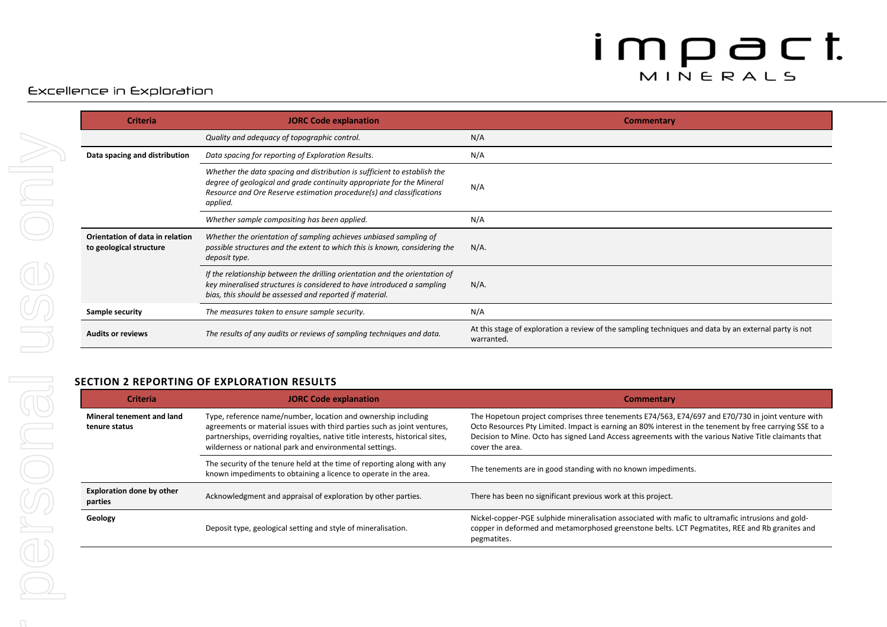### Excellence in Exploration

| <b>Criteria</b>                                            | <b>JORC Code explanation</b>                                                                                                                                                                                                          | <b>Commentary</b>                                                                                                   |
|------------------------------------------------------------|---------------------------------------------------------------------------------------------------------------------------------------------------------------------------------------------------------------------------------------|---------------------------------------------------------------------------------------------------------------------|
|                                                            | Quality and adequacy of topographic control.                                                                                                                                                                                          | N/A                                                                                                                 |
| Data spacing and distribution                              | Data spacing for reporting of Exploration Results.                                                                                                                                                                                    | N/A                                                                                                                 |
|                                                            | Whether the data spacing and distribution is sufficient to establish the<br>degree of geological and grade continuity appropriate for the Mineral<br>Resource and Ore Reserve estimation procedure(s) and classifications<br>applied. | N/A                                                                                                                 |
|                                                            | Whether sample compositing has been applied.                                                                                                                                                                                          | N/A                                                                                                                 |
| Orientation of data in relation<br>to geological structure | Whether the orientation of sampling achieves unbiased sampling of<br>possible structures and the extent to which this is known, considering the<br>deposit type.                                                                      | $N/A$ .                                                                                                             |
|                                                            | If the relationship between the drilling orientation and the orientation of<br>key mineralised structures is considered to have introduced a sampling<br>bias, this should be assessed and reported if material.                      | $N/A$ .                                                                                                             |
| Sample security                                            | The measures taken to ensure sample security.                                                                                                                                                                                         | N/A                                                                                                                 |
| <b>Audits or reviews</b>                                   | The results of any audits or reviews of sampling techniques and data.                                                                                                                                                                 | At this stage of exploration a review of the sampling techniques and data by an external party is not<br>warranted. |

#### **SECTION 2 REPORTING OF EXPLORATION RESULTS**

| <b>Criteria</b>                             | <b>JORC Code explanation</b>                                                                                                                                                                                                                                                          | <b>Commentary</b>                                                                                                                                                                                                                                                                                                                        |
|---------------------------------------------|---------------------------------------------------------------------------------------------------------------------------------------------------------------------------------------------------------------------------------------------------------------------------------------|------------------------------------------------------------------------------------------------------------------------------------------------------------------------------------------------------------------------------------------------------------------------------------------------------------------------------------------|
| Mineral tenement and land<br>tenure status  | Type, reference name/number, location and ownership including<br>agreements or material issues with third parties such as joint ventures,<br>partnerships, overriding royalties, native title interests, historical sites,<br>wilderness or national park and environmental settings. | The Hopetoun project comprises three tenements E74/563, E74/697 and E70/730 in joint venture with<br>Octo Resources Pty Limited. Impact is earning an 80% interest in the tenement by free carrying SSE to a<br>Decision to Mine. Octo has signed Land Access agreements with the various Native Title claimants that<br>cover the area. |
|                                             | The security of the tenure held at the time of reporting along with any<br>known impediments to obtaining a licence to operate in the area.                                                                                                                                           | The tenements are in good standing with no known impediments.                                                                                                                                                                                                                                                                            |
| <b>Exploration done by other</b><br>parties | Acknowledgment and appraisal of exploration by other parties.                                                                                                                                                                                                                         | There has been no significant previous work at this project.                                                                                                                                                                                                                                                                             |
| Geology                                     | Deposit type, geological setting and style of mineralisation.                                                                                                                                                                                                                         | Nickel-copper-PGE sulphide mineralisation associated with mafic to ultramafic intrusions and gold-<br>copper in deformed and metamorphosed greenstone belts. LCT Pegmatites, REE and Rb granites and<br>pegmatites.                                                                                                                      |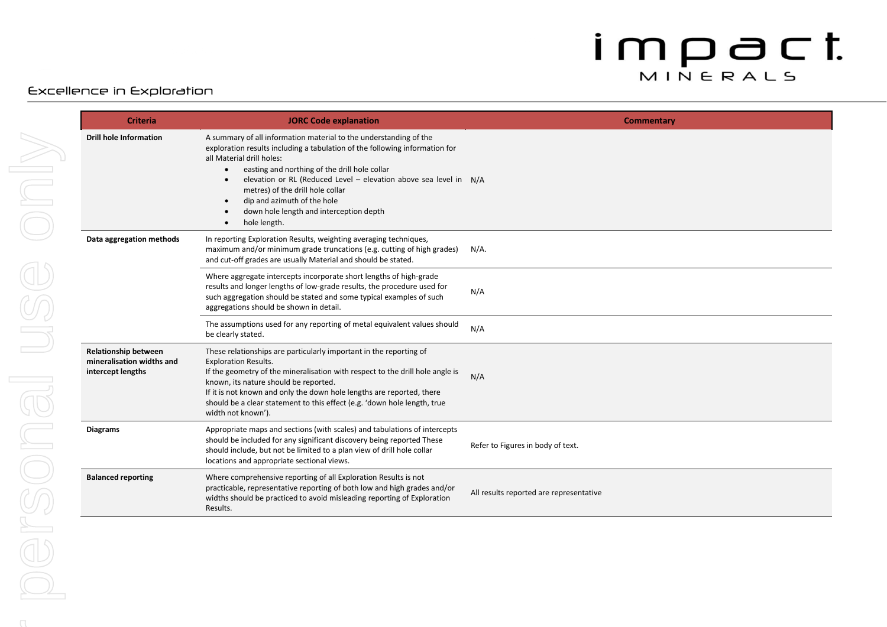#### Excellence in Exploration

| <b>Criteria</b>                                                               | <b>JORC Code explanation</b>                                                                                                                                                                                                                                                                                                                                                                                                                   | Commentary                              |
|-------------------------------------------------------------------------------|------------------------------------------------------------------------------------------------------------------------------------------------------------------------------------------------------------------------------------------------------------------------------------------------------------------------------------------------------------------------------------------------------------------------------------------------|-----------------------------------------|
| <b>Drill hole Information</b>                                                 | A summary of all information material to the understanding of the<br>exploration results including a tabulation of the following information for<br>all Material drill holes:<br>easting and northing of the drill hole collar<br>$\bullet$<br>elevation or RL (Reduced Level - elevation above sea level in N/A<br>metres) of the drill hole collar<br>dip and azimuth of the hole<br>down hole length and interception depth<br>hole length. |                                         |
| Data aggregation methods                                                      | In reporting Exploration Results, weighting averaging techniques,<br>maximum and/or minimum grade truncations (e.g. cutting of high grades)<br>and cut-off grades are usually Material and should be stated.                                                                                                                                                                                                                                   | $N/A$ .                                 |
|                                                                               | Where aggregate intercepts incorporate short lengths of high-grade<br>results and longer lengths of low-grade results, the procedure used for<br>such aggregation should be stated and some typical examples of such<br>aggregations should be shown in detail.                                                                                                                                                                                | N/A                                     |
|                                                                               | The assumptions used for any reporting of metal equivalent values should<br>be clearly stated.                                                                                                                                                                                                                                                                                                                                                 | N/A                                     |
| <b>Relationship between</b><br>mineralisation widths and<br>intercept lengths | These relationships are particularly important in the reporting of<br><b>Exploration Results.</b><br>If the geometry of the mineralisation with respect to the drill hole angle is<br>known, its nature should be reported.<br>If it is not known and only the down hole lengths are reported, there<br>should be a clear statement to this effect (e.g. 'down hole length, true<br>width not known').                                         | N/A                                     |
| <b>Diagrams</b>                                                               | Appropriate maps and sections (with scales) and tabulations of intercepts<br>should be included for any significant discovery being reported These<br>should include, but not be limited to a plan view of drill hole collar<br>locations and appropriate sectional views.                                                                                                                                                                     | Refer to Figures in body of text.       |
| <b>Balanced reporting</b>                                                     | Where comprehensive reporting of all Exploration Results is not<br>practicable, representative reporting of both low and high grades and/or<br>widths should be practiced to avoid misleading reporting of Exploration<br>Results.                                                                                                                                                                                                             | All results reported are representative |